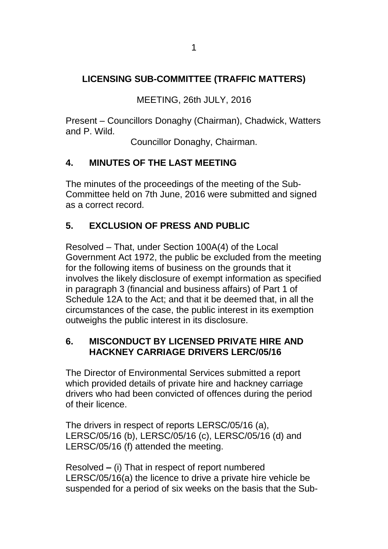## **LICENSING SUB-COMMITTEE (TRAFFIC MATTERS)**

MEETING, 26th JULY, 2016

Present – Councillors Donaghy (Chairman), Chadwick, Watters and P. Wild.

Councillor Donaghy, Chairman.

## **4. MINUTES OF THE LAST MEETING**

The minutes of the proceedings of the meeting of the Sub-Committee held on 7th June, 2016 were submitted and signed as a correct record.

## **5. EXCLUSION OF PRESS AND PUBLIC**

Resolved – That, under Section 100A(4) of the Local Government Act 1972, the public be excluded from the meeting for the following items of business on the grounds that it involves the likely disclosure of exempt information as specified in paragraph 3 (financial and business affairs) of Part 1 of Schedule 12A to the Act; and that it be deemed that, in all the circumstances of the case, the public interest in its exemption outweighs the public interest in its disclosure.

## **6. MISCONDUCT BY LICENSED PRIVATE HIRE AND HACKNEY CARRIAGE DRIVERS LERC/05/16**

The Director of Environmental Services submitted a report which provided details of private hire and hackney carriage drivers who had been convicted of offences during the period of their licence.

The drivers in respect of reports LERSC/05/16 (a), LERSC/05/16 (b), LERSC/05/16 (c), LERSC/05/16 (d) and LERSC/05/16 (f) attended the meeting.

Resolved **–** (i) That in respect of report numbered LERSC/05/16(a) the licence to drive a private hire vehicle be suspended for a period of six weeks on the basis that the Sub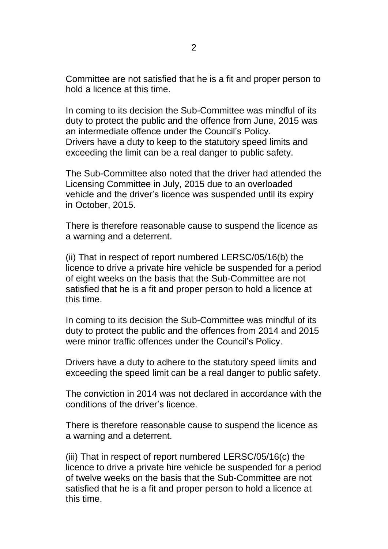Committee are not satisfied that he is a fit and proper person to hold a licence at this time.

In coming to its decision the Sub-Committee was mindful of its duty to protect the public and the offence from June, 2015 was an intermediate offence under the Council's Policy. Drivers have a duty to keep to the statutory speed limits and exceeding the limit can be a real danger to public safety.

The Sub-Committee also noted that the driver had attended the Licensing Committee in July, 2015 due to an overloaded vehicle and the driver's licence was suspended until its expiry in October, 2015.

There is therefore reasonable cause to suspend the licence as a warning and a deterrent.

(ii) That in respect of report numbered LERSC/05/16(b) the licence to drive a private hire vehicle be suspended for a period of eight weeks on the basis that the Sub-Committee are not satisfied that he is a fit and proper person to hold a licence at this time.

In coming to its decision the Sub-Committee was mindful of its duty to protect the public and the offences from 2014 and 2015 were minor traffic offences under the Council's Policy.

Drivers have a duty to adhere to the statutory speed limits and exceeding the speed limit can be a real danger to public safety.

The conviction in 2014 was not declared in accordance with the conditions of the driver's licence.

There is therefore reasonable cause to suspend the licence as a warning and a deterrent.

(iii) That in respect of report numbered LERSC/05/16(c) the licence to drive a private hire vehicle be suspended for a period of twelve weeks on the basis that the Sub-Committee are not satisfied that he is a fit and proper person to hold a licence at this time.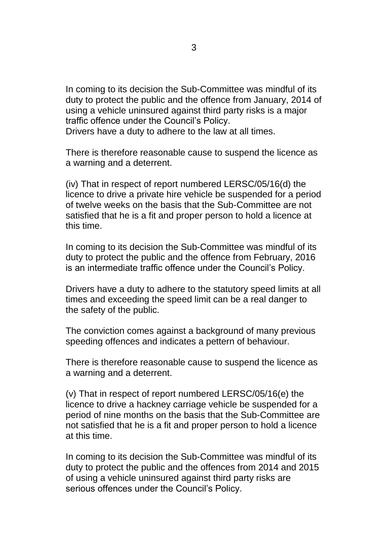In coming to its decision the Sub-Committee was mindful of its duty to protect the public and the offence from January, 2014 of using a vehicle uninsured against third party risks is a major traffic offence under the Council's Policy.

Drivers have a duty to adhere to the law at all times.

There is therefore reasonable cause to suspend the licence as a warning and a deterrent.

(iv) That in respect of report numbered LERSC/05/16(d) the licence to drive a private hire vehicle be suspended for a period of twelve weeks on the basis that the Sub-Committee are not satisfied that he is a fit and proper person to hold a licence at this time.

In coming to its decision the Sub-Committee was mindful of its duty to protect the public and the offence from February, 2016 is an intermediate traffic offence under the Council's Policy.

Drivers have a duty to adhere to the statutory speed limits at all times and exceeding the speed limit can be a real danger to the safety of the public.

The conviction comes against a background of many previous speeding offences and indicates a pettern of behaviour.

There is therefore reasonable cause to suspend the licence as a warning and a deterrent.

(v) That in respect of report numbered LERSC/05/16(e) the licence to drive a hackney carriage vehicle be suspended for a period of nine months on the basis that the Sub-Committee are not satisfied that he is a fit and proper person to hold a licence at this time.

In coming to its decision the Sub-Committee was mindful of its duty to protect the public and the offences from 2014 and 2015 of using a vehicle uninsured against third party risks are serious offences under the Council's Policy.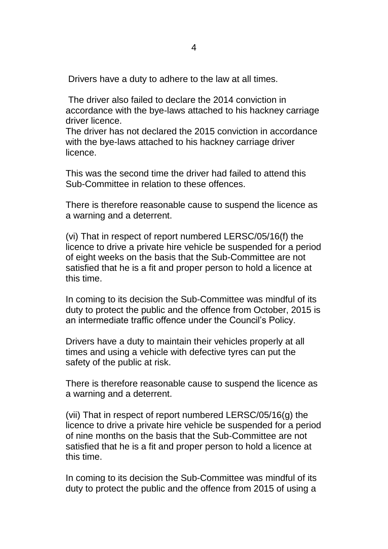Drivers have a duty to adhere to the law at all times.

The driver also failed to declare the 2014 conviction in accordance with the bye-laws attached to his hackney carriage driver licence.

The driver has not declared the 2015 conviction in accordance with the bye-laws attached to his hackney carriage driver licence.

This was the second time the driver had failed to attend this Sub-Committee in relation to these offences.

There is therefore reasonable cause to suspend the licence as a warning and a deterrent.

(vi) That in respect of report numbered LERSC/05/16(f) the licence to drive a private hire vehicle be suspended for a period of eight weeks on the basis that the Sub-Committee are not satisfied that he is a fit and proper person to hold a licence at this time.

In coming to its decision the Sub-Committee was mindful of its duty to protect the public and the offence from October, 2015 is an intermediate traffic offence under the Council's Policy.

Drivers have a duty to maintain their vehicles properly at all times and using a vehicle with defective tyres can put the safety of the public at risk.

There is therefore reasonable cause to suspend the licence as a warning and a deterrent.

(vii) That in respect of report numbered LERSC/05/16(g) the licence to drive a private hire vehicle be suspended for a period of nine months on the basis that the Sub-Committee are not satisfied that he is a fit and proper person to hold a licence at this time.

In coming to its decision the Sub-Committee was mindful of its duty to protect the public and the offence from 2015 of using a